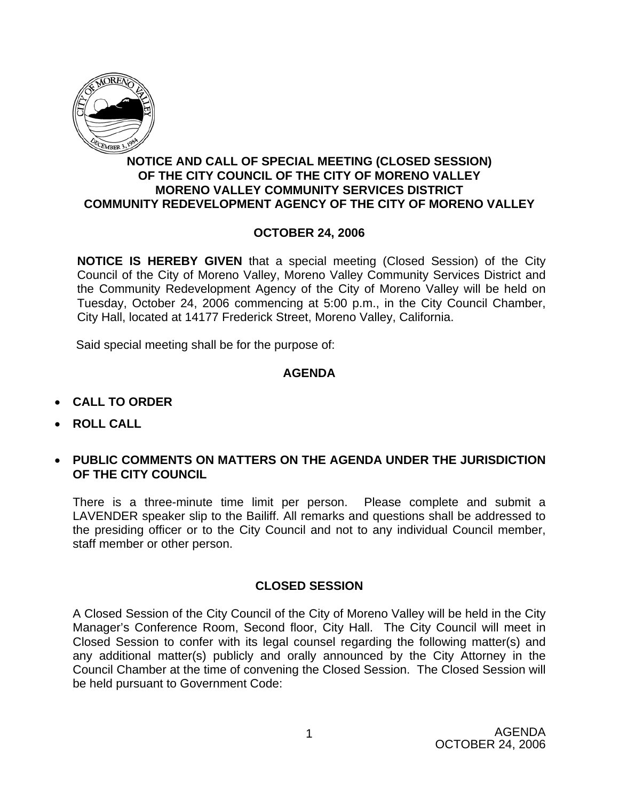

## **NOTICE AND CALL OF SPECIAL MEETING (CLOSED SESSION) OF THE CITY COUNCIL OF THE CITY OF MORENO VALLEY MORENO VALLEY COMMUNITY SERVICES DISTRICT COMMUNITY REDEVELOPMENT AGENCY OF THE CITY OF MORENO VALLEY**

## **OCTOBER 24, 2006**

**NOTICE IS HEREBY GIVEN** that a special meeting (Closed Session) of the City Council of the City of Moreno Valley, Moreno Valley Community Services District and the Community Redevelopment Agency of the City of Moreno Valley will be held on Tuesday, October 24, 2006 commencing at 5:00 p.m., in the City Council Chamber, City Hall, located at 14177 Frederick Street, Moreno Valley, California.

Said special meeting shall be for the purpose of:

## **AGENDA**

- **CALL TO ORDER**
- **ROLL CALL**
- **PUBLIC COMMENTS ON MATTERS ON THE AGENDA UNDER THE JURISDICTION OF THE CITY COUNCIL**

There is a three-minute time limit per person. Please complete and submit a LAVENDER speaker slip to the Bailiff. All remarks and questions shall be addressed to the presiding officer or to the City Council and not to any individual Council member, staff member or other person.

## **CLOSED SESSION**

A Closed Session of the City Council of the City of Moreno Valley will be held in the City Manager's Conference Room, Second floor, City Hall. The City Council will meet in Closed Session to confer with its legal counsel regarding the following matter(s) and any additional matter(s) publicly and orally announced by the City Attorney in the Council Chamber at the time of convening the Closed Session. The Closed Session will be held pursuant to Government Code: